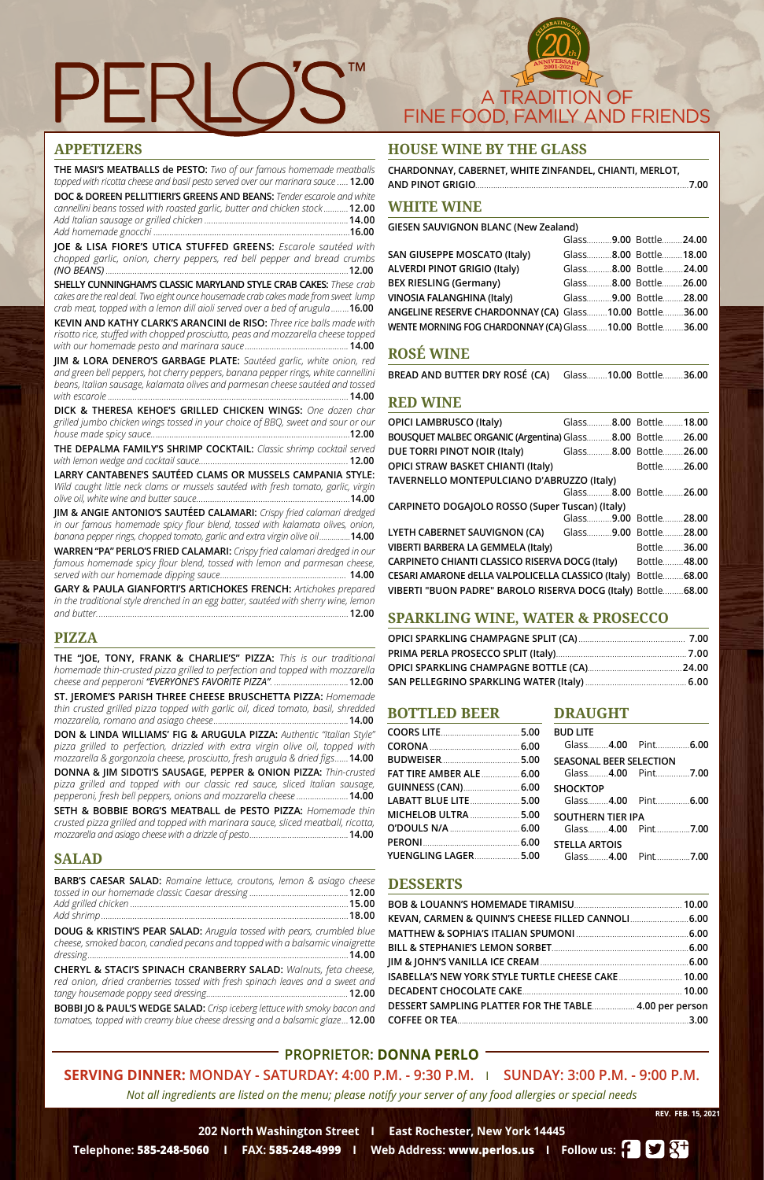**202 North Washington Street I East Rochester, New York 14445**

**Telephone: 585-248-5060 I FAX: 585-248-4999 I Web Address: www.perlos.us I Follow us:**



**REV. FEB. 15, 2021**



# **PROPRIETOR: DONNA PERLO**

**SERVING DINNER: MONDAY - SATURDAY: 4:00 P.M. - 9:30 P.M.** I **SUNDAY: 3:00 P.M. - 9:00 P.M.**

*Not all ingredients are listed on the menu; please notify your server of any food allergies or special needs*

# **APPETIZERS**

**THE MASI'S MEATBALLS de PESTO:** *Two of our famous homemade meatballs topped with ricotta cheese and basil pesto served over our marinara sauce .....* **12.00**

**DOC & DOREEN PELLITTIERI'S GREENS AND BEANS:** *Tender escarole and white cannellini beans tossed with roasted garlic, butter and chicken stock ...........***12.00** *Add Italian sausage or grilled chicken ................................................................***14.00** *Add homemade gnocchi* .......................................................................................**16.00**

**JOE & LISA FIORE'S UTICA STUFFED GREENS:** *Escarole sautéed with chopped garlic, onion, cherry peppers, red bell pepper and bread crumbs (NO BEANS) ............................................................................................................***12.00**

**SHELLY CUNNINGHAM'S CLASSIC MARYLAND STYLE CRAB CAKES:** *These crab cakes are the real deal. Two eight ounce housemade crab cakes made from sweet lump crab meat, topped with a lemon dill aioli served over a bed of arugula........***16.00**

**KEVIN AND KATHY CLARK'S ARANCINI de RISO:** *Three rice balls made with risotto rice, stuffed with chopped prosciutto, peas and mozzarella cheese topped with our homemade pesto and marinara sauce ..............................................***14.00**

**JIM & LORA DENERO'S GARBAGE PLATE:** *Sautéed garlic, white onion, red and green bell peppers, hot cherry peppers, banana pepper rings, white cannellini beans, Italian sausage, kalamata olives and parmesan cheese sautéed and tossed with escarole ...........................................................................................................***14.00**

**DICK & THERESA KEHOE'S GRILLED CHICKEN WINGS:** *One dozen char grilled jumbo chicken wings tossed in your choice of BBQ, sweet and sour or our house made spicy sauce..*......................................................................................**12.00**

**THE DEPALMA FAMILY'S SHRIMP COCKTAIL:** *Classic shrimp cocktail served with lemon wedge and cocktail sauce………………………………………….………...….* **12.00**

**LARRY CANTABENE'S SAUTÉED CLAMS OR MUSSELS CAMPANIA STYLE:**  *Wild caught little neck clams or mussels sautéed with fresh tomato, garlic, virgin olive oil, white wine and butter sauce………...…………………………………....…………***14.00**

**JIM & ANGIE ANTONIO'S SAUTÉED CALAMARI:** *Crispy fried calamari dredged in our famous homemade spicy flour blend, tossed with kalamata olives, onion, banana pepper rings, chopped tomato, garlic and extra virgin olive oil...............***14.00**

**WARREN "PA" PERLO'S FRIED CALAMARI:** *Crispy fried calamari dredged in our*  famous homemade spicy flour blend, tossed with lemon and parmesan cheese, *served with our homemade dipping sauce........................................................* **14.00**

**GARY & PAULA GIANFORTI'S ARTICHOKES FRENCH:** *Artichokes prepared in the traditional style drenched in an egg batter, sautéed with sherry wine, lemon and butter................................................................................................................***12.00**

# **PIZZA**

**THE "JOE, TONY, FRANK & CHARLIE'S" PIZZA:** *This is our traditional homemade thin-crusted pizza grilled to perfection and topped with mozzarella cheese and pepperoni "EVERYONE'S FAVORITE PIZZA". .................................***12.00**

**ST. JEROME'S PARISH THREE CHEESE BRUSCHETTA PIZZA:** *Homemade thin crusted grilled pizza topped with garlic oil, diced tomato, basil, shredded mozzarella, romano and asiago cheese............................................................***14.00**

**DON & LINDA WILLIAMS' FIG & ARUGULA PIZZA:** *Authentic "Italian Style" pizza grilled to perfection, drizzled with extra virgin olive oil, topped with mozzarella & gorgonzola cheese, prosciutto, fresh arugula & dried figs......***14.00**

**DONNA & JIM SIDOTI'S SAUSAGE, PEPPER & ONION PIZZA:** *Thin-crusted pizza grilled and topped with our classic red sauce, sliced Italian sausage, pepperoni, fresh bell peppers, onions and mozzarella cheese .......................***14.00**

**SETH & BOBBIE BORG'S MEATBALL de PESTO PIZZA:** *Homemade thin crusted pizza grilled and topped with marinara sauce, sliced meatball, ricotta, mozzarella and asiago cheese with a drizzle of pesto............................................***14.00**

# **SALAD**

| <b>BARB'S CAESAR SALAD:</b> Romaine lettuce, croutons, lemon & asiago cheese |  |
|------------------------------------------------------------------------------|--|
|                                                                              |  |
|                                                                              |  |
|                                                                              |  |

**DOUG & KRISTIN'S PEAR SALAD:** *Arugula tossed with pears, crumbled blue cheese, smoked bacon, candied pecans and topped with a balsamic vinaigrette dressing....................................................................................................................***14.00**

**CHERYL & STACI'S SPINACH CRANBERRY SALAD:** *Walnuts, feta cheese, red onion, dried cranberries tossed with fresh spinach leaves and a sweet and tangy housemade poppy seed dressing.................................................................***12.00** 

**BOBBI JO & PAUL'S WEDGE SALAD:** *Crisp iceberg lettuce with smoky bacon and tomatoes, topped with creamy blue cheese dressing and a balsamic glaze...***12.00**

# **HOUSE WINE BY THE GLASS**

| CHARDONNAY, CABERNET, WHITE ZINFANDEL, CHIANTI, MERLOT, |  |
|---------------------------------------------------------|--|
|                                                         |  |

### **WHITE WINE**

**GIESEN SAUVIGNON BLANC (New Zealand)**

| Glass9.00 Bottle24.00                                    |
|----------------------------------------------------------|
| Glass8.00 Bottle18.00                                    |
| Glass8.00 Bottle24.00                                    |
| Glass8.00 Bottle26.00                                    |
| Glass9.00 Bottle28.00                                    |
| ANGELINE RESERVE CHARDONNAY (CA) Glass10.00 Bottle36.00  |
| WENTE MORNING FOG CHARDONNAY (CA) Glass10.00 Bottle36.00 |
|                                                          |

# **ROSÉ WINE**

**BREAD AND BUTTER DRY ROSÉ (CA)** Glass*……...***10.00** Bottle*………***36.00**

# **RED WINE**

| <b>OPICI LAMBRUSCO (Italy)</b>                                | Glass8.00 Bottle18.00 |
|---------------------------------------------------------------|-----------------------|
| BOUSQUET MALBEC ORGANIC (Argentina) Glass8.00 Bottle26.00     |                       |
| DUE TORRI PINOT NOIR (Italy) Glass8.00 Bottle26.00            |                       |
| <b>OPICI STRAW BASKET CHIANTI (Italy)</b>                     | Bottle26.00           |
| TAVERNELLO MONTEPULCIANO D'ABRUZZO (Italy)                    |                       |
|                                                               | Glass8.00 Bottle26.00 |
| CARPINETO DOGAJOLO ROSSO (Super Tuscan) (Italy)               |                       |
|                                                               | Glass9.00 Bottle28.00 |
| LYETH CABERNET SAUVIGNON (CA) Glass9.00 Bottle28.00           |                       |
| VIBERTI BARBERA LA GEMMELA (Italy)                            | Bottle36.00           |
| CARPINETO CHIANTI CLASSICO RISERVA DOCG (Italy) Bottle48.00   |                       |
| CESARI AMARONE dELLA VALPOLICELLA CLASSICO (Italy)            | Bottle 68.00          |
| VIBERTI "BUON PADRE" BAROLO RISERVA DOCG (Italy) Bottle 68.00 |                       |

# **SPARKLING WINE, WATER & PROSECCO**

#### **DESSERTS**

| ISABELLA'S NEW YORK STYLE TURTLE CHEESE CAKE  10.00    |  |
|--------------------------------------------------------|--|
|                                                        |  |
| DESSERT SAMPLING PLATTER FOR THE TABLE 4.00 per person |  |
|                                                        |  |
|                                                        |  |

#### **BOTTLED BEER**

| <b>FAT TIRE AMBER ALE  6.00</b> |  |
|---------------------------------|--|
| GUINNESS (CAN) 6.00             |  |
| LABATT BLUE LITE 5.00           |  |
| <b>MICHELOB ULTRA  5.00</b>     |  |
|                                 |  |
|                                 |  |
| YUENGLING LAGER 5.00            |  |

#### **DRAUGHT**

| )  | <b>BUD LITE</b>                |                    |
|----|--------------------------------|--------------------|
| J  |                                | Glass4.00 Pint6.00 |
| J  | <b>SEASONAL BEER SELECTION</b> |                    |
| J  |                                | Glass4.00 Pint7.00 |
| ງ  | <b>SHOCKTOP</b>                |                    |
| J  |                                | Glass4.00 Pint6.00 |
| ງ  | SOUTHERN TIER IPA              |                    |
| )  |                                | Glass4.00 Pint7.00 |
| ້) | <b>STELLA ARTOIS</b>           |                    |
| )  |                                | Glass4.00 Pint7.00 |